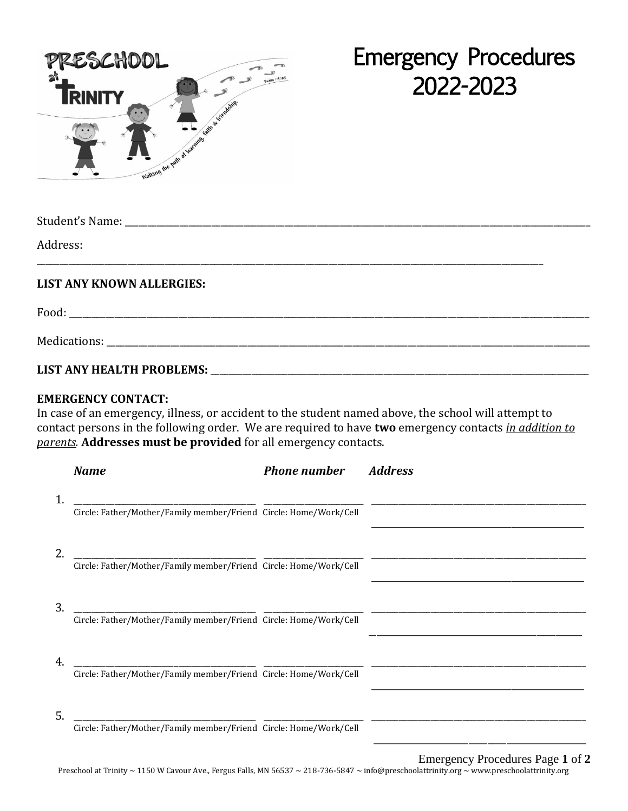

## Emergency Procedures 2022-2023

| Address:                         |  |
|----------------------------------|--|
| <b>LIST ANY KNOWN ALLERGIES:</b> |  |
|                                  |  |
|                                  |  |
|                                  |  |

## **EMERGENCY CONTACT:**

In case of an emergency, illness, or accident to the student named above, the school will attempt to contact persons in the following order. We are required to have **two** emergency contacts *in addition to parents.* **Addresses must be provided** for all emergency contacts.

|    | <b>Name</b>                                                       | <b>Phone number</b> | <b>Address</b> |
|----|-------------------------------------------------------------------|---------------------|----------------|
|    | Circle: Father/Mother/Family member/Friend Circle: Home/Work/Cell |                     |                |
|    | Circle: Father/Mother/Family member/Friend Circle: Home/Work/Cell |                     |                |
| 3. | Circle: Father/Mother/Family member/Friend Circle: Home/Work/Cell |                     |                |
| 4  | Circle: Father/Mother/Family member/Friend Circle: Home/Work/Cell |                     |                |
| 5. | Circle: Father/Mother/Family member/Friend Circle: Home/Work/Cell |                     |                |

Preschool at Trinity ~ 1150 W Cavour Ave., Fergus Falls, MN 56537 ~ 218-736-5847 ~ info@preschoolattrinity.org ~ www.preschoolattrinity.org